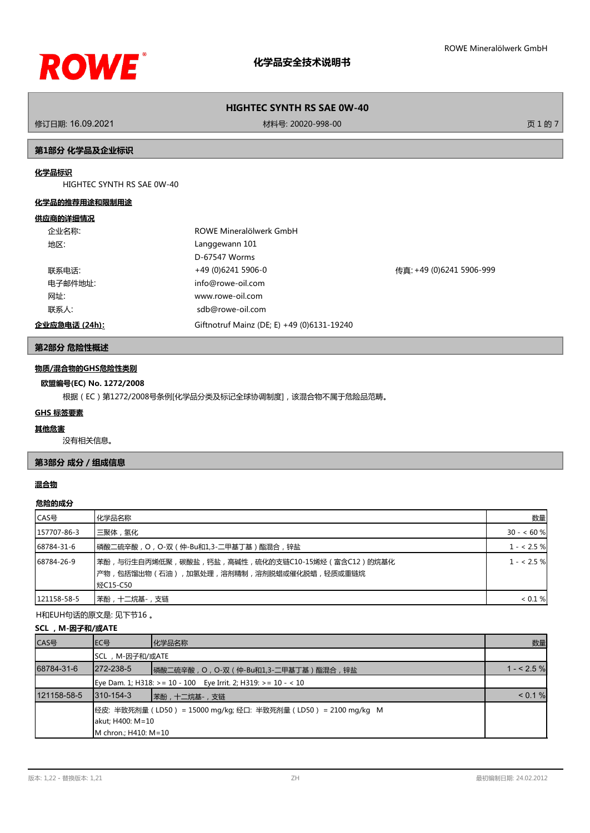

修订日期: 16.09.2021 材料号: 20020-998-00 页 1 的 7

# **第1部分 化学品及企业标识**

# **化学品标识**

HIGHTEC SYNTH RS SAE 0W-40

### **化学品的推荐用途和限制用途**

### **供应商的详细情况**

| 企业名称:         | ROWE Mineralölwerk GmbH                    |                          |
|---------------|--------------------------------------------|--------------------------|
| 地区:           | Langgewann 101                             |                          |
|               | D-67547 Worms                              |                          |
| 联系电话:         | +49 (0)6241 5906-0                         | 传真: +49 (0)6241 5906-999 |
| 电子邮件地址:       | info@rowe-oil.com                          |                          |
| 网址:           | www.rowe-oil.com                           |                          |
| 联系人:          | sdb@rowe-oil.com                           |                          |
| 企业应急电话 (24h): | Giftnotruf Mainz (DE; E) +49 (0)6131-19240 |                          |

# **第2部分 危险性概述**

# **物质/混合物的GHS危险性类别**

### **欧盟编号(EC) No. 1272/2008**

根据(EC)第1272/2008号条例[化学品分类及标记全球协调制度],该混合物不属于危险品范畴。

# **GHS 标签要素**

#### **其他危害**

没有相关信息。

# **第3部分 成分/组成信息**

# **混合物**

# **危险的成分**

| CAS号        | 化学品名称                                                                                                     | 数量          |
|-------------|-----------------------------------------------------------------------------------------------------------|-------------|
| 157707-86-3 | 三聚体 , 氢化                                                                                                  | $30 - 60$ % |
| 68784-31-6  | 磷酸二硫辛酸 , O , O-双 ( 仲-Bu和1,3-二甲基丁基 ) 酯混合 , 锌盐                                                              | $1 - 2.5%$  |
| 68784-26-9  | 苯酚,与衍生自丙烯低聚,碳酸盐,钙盐,高碱性,硫化的支链C10-15烯烃(富含C12)的烷基化<br> 产物,包括馏出物(石油),加氢处理,溶剂精制,溶剂脱蜡或催化脱蜡,轻质或重链烷<br>  烃C15-C50 | $1 - 2.5$ % |
| 121158-58-5 | 苯酚,十二烷基-,支链                                                                                               | < 0.1 %     |

H和EUH句话的原文是: 见下节16 。

# **SCL, M-因子和/或ATE**

| CAS号        | IEC号                                                                                                       | 化学品名称 | 数量         |
|-------------|------------------------------------------------------------------------------------------------------------|-------|------------|
|             | SCL, M-因子和/或ATE                                                                                            |       |            |
| 68784-31-6  | $1272 - 238 - 5$<br>┃磷酸二硫辛酸, O, O-双 (仲-Bu和1,3-二甲基丁基)酯混合, 锌盐                                                |       | $1 - 2.5%$ |
|             | Eye Dam. 1; H318: >= 10 - 100    Eye Irrit. 2; H319: >= 10 - < 10                                          |       |            |
| 121158-58-5 | 1310-154-3<br> 苯酚,十二烷基-,支链                                                                                 |       | < 0.1 %    |
|             | 经皮: 半致死剂量(LD50) = 15000 mg/kg; 经口: 半致死剂量(LD50) = 2100 mg/kg M<br>akut; H400: M=10<br>IM chron.: H410: M=10 |       |            |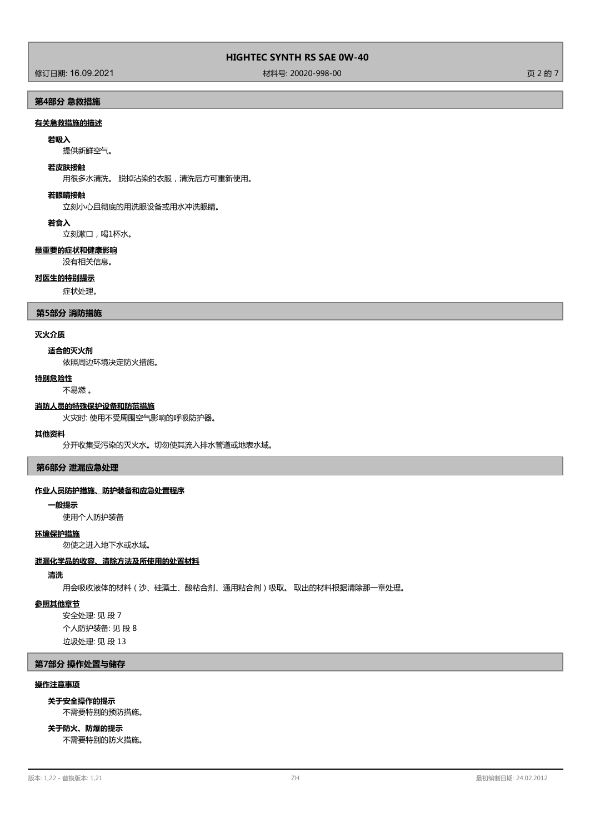修订日期: 16.09.2021 材料号: 20020-998-00 页 2 的 7

# **第4部分 急救措施**

# **有关急救措施的描述**

#### **若吸入**

提供新鲜空气。

#### **若皮肤接触**

用很多水清洗。 脱掉沾染的衣服,清洗后方可重新使用。

#### **若眼睛接触**

立刻小心且彻底的用洗眼设备或用水冲洗眼睛。

**若食入**

立刻漱口,喝1杯水。

# **最重要的症状和健康影响**

没有相关信息。

### **对医生的特别提示**

症状处理。

### **第5部分 消防措施**

### **灭火介质**

### **适合的灭火剂**

依照周边环境决定防火措施。

#### **特别危险性**

不易燃 。

### **消防人员的特殊保护设备和防范措施**

火灾时: 使用不受周围空气影响的呼吸防护器。

### **其他资料**

分开收集受污染的灭火水。切勿使其流入排水管道或地表水域。

**第6部分 泄漏应急处理**

### **作业人员防护措施、防护装备和应急处置程序**

**一般提示**

使用个人防护装备

# **环境保护措施**

勿使之进入地下水或水域。

#### **泄漏化学品的收容、清除方法及所使用的处置材料**

# **清洗**

用会吸收液体的材料(沙、硅藻土、酸粘合剂、通用粘合剂)吸取。 取出的材料根据清除那一章处理。

# **参照其他章节**

安全处理: 见 段 7 个人防护装备: 见 段 8 垃圾处理: 见 段 13

### **第7部分 操作处置与储存**

### **操作注意事项**

不需要特别的预防措施。 **关于安全操作的提示**

不需要特别的防火措施。 **关于防火、防爆的提示**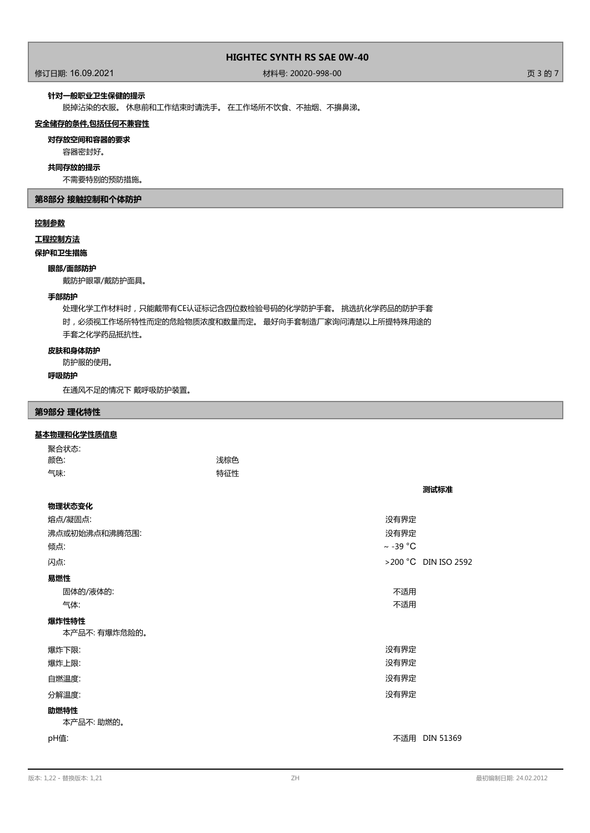修订日期: 16.09.2021 材料号: 20020-998-00 页 3 的 7

### **针对一般职业卫生保健的提示**

脱掉沾染的衣服。 休息前和工作结束时请洗手。 在工作场所不饮食、不抽烟、不擤鼻涕。

### **安全储存的条件,包括任何不兼容性**

**对存放空间和容器的要求**

#### 容器密封好。

**共同存放的提示**

不需要特别的预防措施。

# **第8部分 接触控制和个体防护**

# **控制参数**

**工程控制方法**

# **保护和卫生措施**

### **眼部/面部防护**

戴防护眼罩/戴防护面具。

#### **手部防护**

处理化学工作材料时,只能戴带有CE认证标记含四位数检验号码的化学防护手套。 挑选抗化学药品的防护手套 时,必须视工作场所特性而定的危险物质浓度和数量而定。 最好向手套制造厂家询问清楚以上所提特殊用途的 手套之化学药品抵抗性。

### **皮肤和身体防护**

防护服的使用。

### **呼吸防护**

在通风不足的情况下 戴呼吸防护装置。

# **第9部分 理化特性**

# **基本物理和化学性质信息**

| 聚合状态:                 |     |               |                      |
|-----------------------|-----|---------------|----------------------|
| 颜色:                   | 浅棕色 |               |                      |
| 气味:                   | 特征性 |               |                      |
|                       |     |               | 测试标准                 |
| 物理状态变化                |     |               |                      |
| 熔点/凝固点:               |     | 没有界定          |                      |
| 沸点或初始沸点和沸腾范围:         |     | 没有界定          |                      |
| 倾点:                   |     | $\sim$ -39 °C |                      |
| 闪点:                   |     |               | >200 °C DIN ISO 2592 |
| 易燃性                   |     |               |                      |
| 固体的/液体的:              |     | 不适用           |                      |
| 气体:                   |     | 不适用           |                      |
| 爆炸性特性<br>本产品不:有爆炸危险的。 |     |               |                      |
|                       |     |               |                      |
| 爆炸下限:<br>爆炸上限:        |     | 没有界定<br>没有界定  |                      |
|                       |     |               |                      |
| 自燃温度:                 |     | 没有界定          |                      |
| 分解温度:                 |     | 没有界定          |                      |
| 助燃特性                  |     |               |                      |
| 本产品不: 助燃的。            |     |               |                      |
| pH值:                  |     |               | 不适用 DIN 51369        |
|                       |     |               |                      |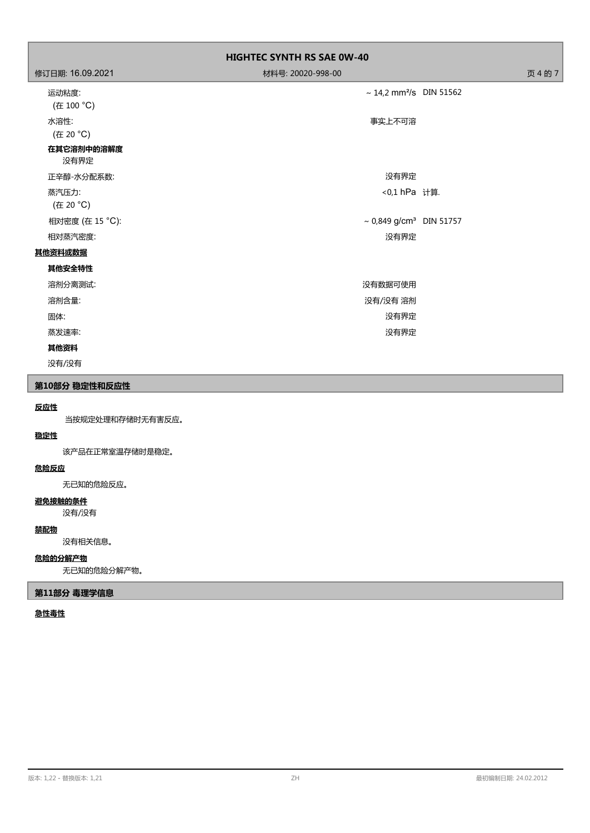|                     | <b>HIGHTEC SYNTH RS SAE 0W-40</b>        |         |
|---------------------|------------------------------------------|---------|
| 修订日期: 16.09.2021    | 材料号: 20020-998-00                        | 页 4 的 7 |
| 运动粘度:<br>(在 100 °C) | $\sim$ 14,2 mm <sup>2</sup> /s DIN 51562 |         |
| 水溶性:<br>(在 20 °C)   | 事实上不可溶                                   |         |
| 在其它溶剂中的溶解度<br>没有界定  |                                          |         |
| 正辛醇-水分配系数:          | 没有界定                                     |         |
| 蒸汽压力:<br>(在 20 °C)  | <0,1 hPa 计算.                             |         |
| 相对密度 (在 15 °C):     | ~ $0,849$ g/cm <sup>3</sup> DIN 51757    |         |
| 相对蒸汽密度:             | 没有界定                                     |         |
| 其他资料或数据             |                                          |         |
| 其他安全特性              |                                          |         |
| 溶剂分离测试:             | 没有数据可使用                                  |         |
| 溶剂含量:               | 没有/没有溶剂                                  |         |
| 固体:                 | 没有界定                                     |         |
| 蒸发速率:               | 没有界定                                     |         |
| 其他资料                |                                          |         |

没有/没有

# **第10部分 稳定性和反应性**

# **反应性**

当按规定处理和存储时无有害反应。

# **稳定性**

该产品在正常室温存储时是稳定。

# **危险反应**

无已知的危险反应。

# **避免接触的条件**

没有/没有

# **禁配物**

没有相关信息。

# **危险的分解产物**

无已知的危险分解产物。

# **第11部分 毒理学信息**

# **急性毒性**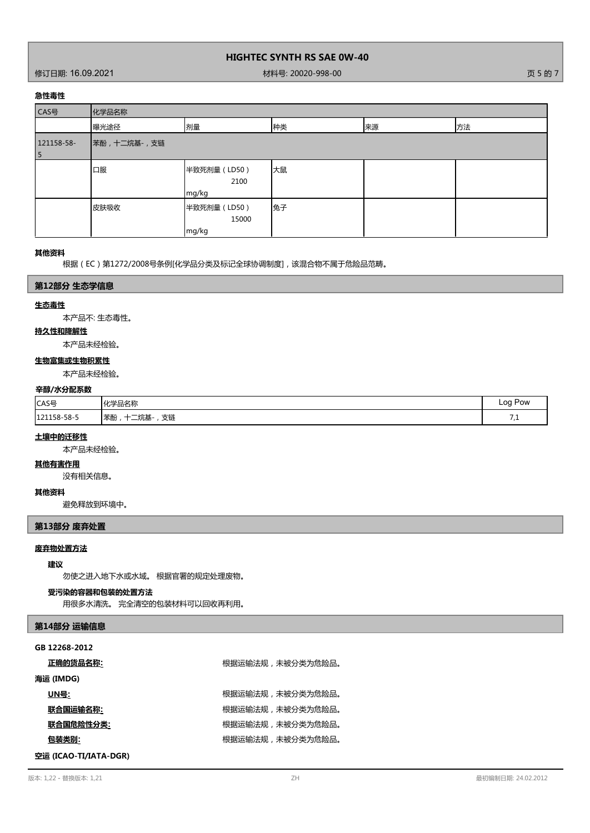修订日期: 16.09.2021 材料号: 20020-998-00 页 5 的 7

### **急性毒性**

| CAS号            | 化学品名称       |                                |    |    |    |
|-----------------|-------------|--------------------------------|----|----|----|
|                 | 曝光途径        | 剂量                             | 种类 | 来源 | 方法 |
| 121158-58-<br>5 | 苯酚,十二烷基-,支链 |                                |    |    |    |
|                 | 口服          | 半致死剂量 (LD50)<br>2100<br>mg/kg  | 大鼠 |    |    |
|                 | 皮肤吸收        | 半致死剂量 (LD50)<br>15000<br>mg/kg | 兔子 |    |    |

### **其他资料**

根据(EC)第1272/2008号条例[化学品分类及标记全球协调制度],该混合物不属于危险品范畴。

### **第12部分 生态学信息**

#### **生态毒性**

本产品不: 生态毒性。

# **持久性和降解性**

本产品未经检验。

# **生物富集或生物积累性**

本产品未经检验。

### **辛醇/水分配系数**

| CAS号        | 化学品名称                                                                          | -00<br>Pow<br>$\sim$<br>$\sim$ |
|-------------|--------------------------------------------------------------------------------|--------------------------------|
| 121158-58-5 | 支链<br>1 <del>++</del> + ^<br>$-1$<br>本酚<br>.<br>兀坐<br>$\overline{\phantom{a}}$ | - -<br>ـ ، ،                   |

## **土壤中的迁移性**

本产品未经检验。

# **其他有害作用**

没有相关信息。

#### **其他资料**

避免释放到环境中。

# **第13部分 废弃处置**

# **废弃物处置方法**

## **建议**

勿使之进入地下水或水域。 根据官署的规定处理废物。

### **受污染的容器和包装的处置方法**

用很多水清洗。 完全清空的包装材料可以回收再利用。

# **第14部分 运输信息**

| 正确的货品名称: | 根据运输法规,未被分类为危险品。 |
|----------|------------------|
|          |                  |

# **海运 (IMDG)**

 $\underline{\text{UN}} = \underline{\text{UN}} = \underline{\text{UN}} = \underline{\text{M}}$ 

<mark>联合国运输名称:</mark> 网络卡尔卡尔卡尔卡尔卡尔卡尔卡尔卡尔特尔夫 机接触式机构 机转移力后险品。

**联合国危险性分类:** 根据运输法规,未被分类为危险品。

**包装类别:** 根据运输法规,未被分类为危险品。

**空运 (ICAO-TI/IATA-DGR)**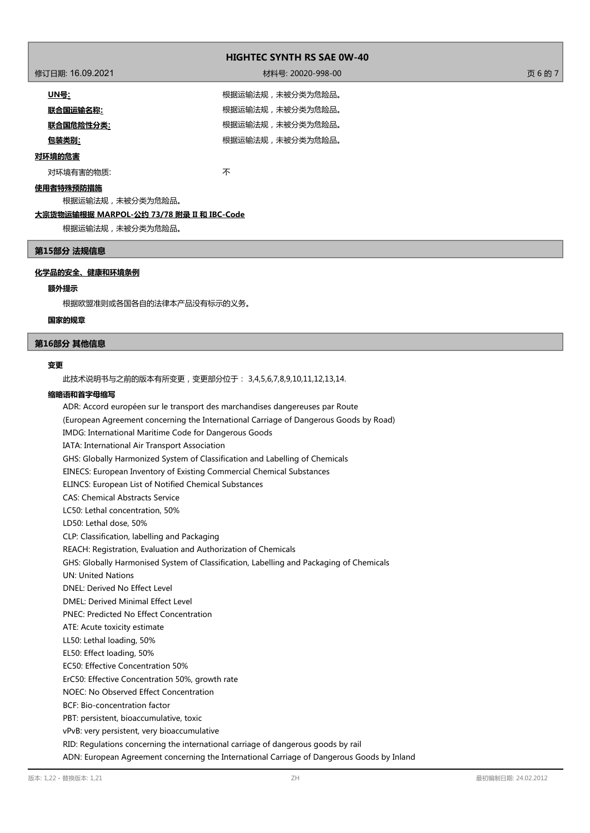| 修订日期: 16.09.2021 | 材料号: 20020-998-00 | 页6的7 |
|------------------|-------------------|------|
| <u> UN를:</u>     | 根据运输法规,未被分类为危险品。  |      |
| 联合国运输名称:         | 根据运输法规,未被分类为危险品。  |      |
| <u>联合国危险性分类:</u> | 根据运输法规,未被分类为危险品。  |      |
| 包装类别:            | 根据运输法规,未被分类为危险品。  |      |
| 对环境的危害           |                   |      |

对环境有害的物质: オンランド インタン あいしゃ 不

# **使用者特殊预防措施**

根据运输法规,未被分类为危险品。

# **大宗货物运输根据 MARPOL-公约 73/78 附录 II 和 IBC-Code**

根据运输法规,未被分类为危险品。

# **第15部分 法规信息**

# **化学品的安全、健康和环境条例**

### **额外提示**

根据欧盟准则或各国各自的法律本产品没有标示的义务。

### **国家的规章**

### **第16部分 其他信息**

### **变更**

此技术说明书与之前的版本有所变更,变更部分位于: 3,4,5,6,7,8,9,10,11,12,13,14.

### **缩略语和首字母缩写**

ADR: Accord européen sur le transport des marchandises dangereuses par Route (European Agreement concerning the International Carriage of Dangerous Goods by Road) IMDG: International Maritime Code for Dangerous Goods IATA: International Air Transport Association GHS: Globally Harmonized System of Classification and Labelling of Chemicals EINECS: European Inventory of Existing Commercial Chemical Substances ELINCS: European List of Notified Chemical Substances CAS: Chemical Abstracts Service LC50: Lethal concentration, 50% LD50: Lethal dose, 50% CLP: Classification, labelling and Packaging REACH: Registration, Evaluation and Authorization of Chemicals GHS: Globally Harmonised System of Classification, Labelling and Packaging of Chemicals UN: United Nations DNEL: Derived No Effect Level DMEL: Derived Minimal Effect Level PNEC: Predicted No Effect Concentration ATE: Acute toxicity estimate LL50: Lethal loading, 50% EL50: Effect loading, 50% EC50: Effective Concentration 50% ErC50: Effective Concentration 50%, growth rate NOEC: No Observed Effect Concentration BCF: Bio-concentration factor PBT: persistent, bioaccumulative, toxic vPvB: very persistent, very bioaccumulative RID: Regulations concerning the international carriage of dangerous goods by rail

ADN: European Agreement concerning the International Carriage of Dangerous Goods by Inland